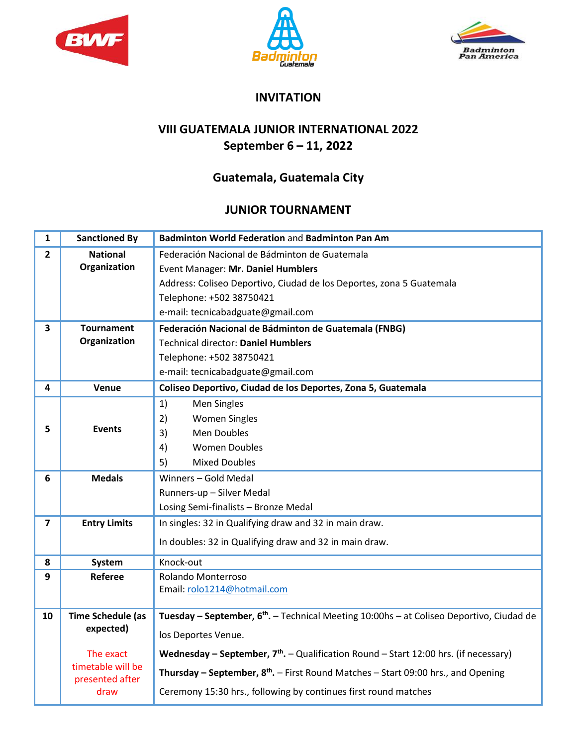





## **INVITATION**

## **VIII GUATEMALA JUNIOR INTERNATIONAL 2022 September 6 – 11, 2022**

## **Guatemala, Guatemala City**

## **JUNIOR TOURNAMENT**

| $\mathbf{1}$            | <b>Sanctioned By</b>                  | Badminton World Federation and Badminton Pan Am                                                         |
|-------------------------|---------------------------------------|---------------------------------------------------------------------------------------------------------|
| $\overline{2}$          | <b>National</b>                       | Federación Nacional de Bádminton de Guatemala                                                           |
|                         | Organization                          | Event Manager: Mr. Daniel Humblers                                                                      |
|                         |                                       | Address: Coliseo Deportivo, Ciudad de los Deportes, zona 5 Guatemala                                    |
|                         |                                       | Telephone: +502 38750421                                                                                |
|                         |                                       | e-mail: tecnicabadguate@gmail.com                                                                       |
| 3                       | <b>Tournament</b>                     | Federación Nacional de Bádminton de Guatemala (FNBG)                                                    |
|                         | Organization                          | <b>Technical director: Daniel Humblers</b>                                                              |
|                         |                                       | Telephone: +502 38750421                                                                                |
|                         |                                       | e-mail: tecnicabadguate@gmail.com                                                                       |
| 4                       | Venue                                 | Coliseo Deportivo, Ciudad de los Deportes, Zona 5, Guatemala                                            |
|                         |                                       | 1)<br>Men Singles                                                                                       |
|                         |                                       | 2)<br><b>Women Singles</b>                                                                              |
| 5                       | <b>Events</b>                         | 3)<br><b>Men Doubles</b>                                                                                |
|                         |                                       | 4)<br><b>Women Doubles</b>                                                                              |
|                         |                                       | 5)<br><b>Mixed Doubles</b>                                                                              |
| 6                       | <b>Medals</b>                         | Winners - Gold Medal                                                                                    |
|                         |                                       | Runners-up - Silver Medal                                                                               |
|                         |                                       | Losing Semi-finalists - Bronze Medal                                                                    |
| $\overline{\mathbf{z}}$ | <b>Entry Limits</b>                   | In singles: 32 in Qualifying draw and 32 in main draw.                                                  |
|                         |                                       | In doubles: 32 in Qualifying draw and 32 in main draw.                                                  |
| 8                       | System                                | Knock-out                                                                                               |
| 9                       | <b>Referee</b>                        | Rolando Monterroso                                                                                      |
|                         |                                       | Email: rolo1214@hotmail.com                                                                             |
|                         |                                       |                                                                                                         |
| 10                      | <b>Time Schedule (as</b><br>expected) | Tuesday - September, 6 <sup>th</sup> . - Technical Meeting 10:00hs - at Coliseo Deportivo, Ciudad de    |
|                         |                                       | los Deportes Venue.                                                                                     |
|                         | The exact                             | Wednesday - September, $7th$ . - Qualification Round - Start 12:00 hrs. (if necessary)                  |
|                         | timetable will be<br>presented after  | <b>Thursday – September, <math>8^{th}</math>.</b> – First Round Matches – Start 09:00 hrs., and Opening |
|                         | draw                                  | Ceremony 15:30 hrs., following by continues first round matches                                         |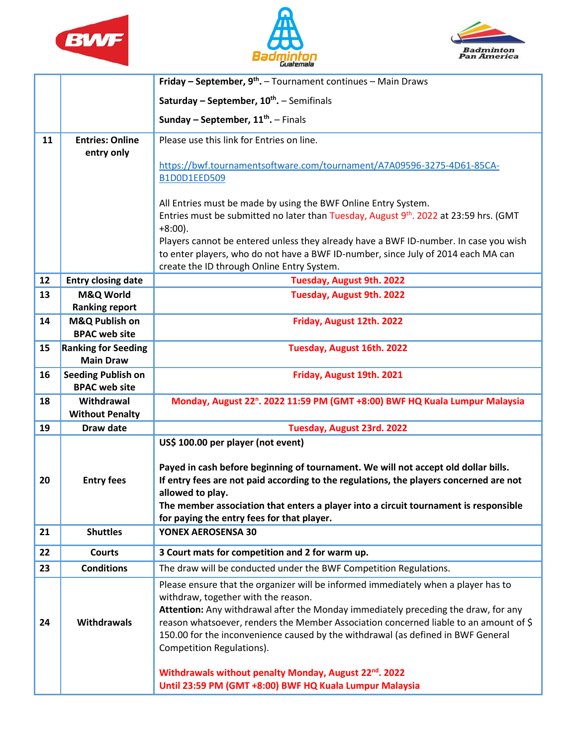





|    |                                                    | Friday - September, 9 <sup>th</sup> . - Tournament continues - Main Draws                                                                                                                                                                                                                                                                                                                                                 |
|----|----------------------------------------------------|---------------------------------------------------------------------------------------------------------------------------------------------------------------------------------------------------------------------------------------------------------------------------------------------------------------------------------------------------------------------------------------------------------------------------|
|    |                                                    | Saturday - September, $10^{th}$ . - Semifinals                                                                                                                                                                                                                                                                                                                                                                            |
|    |                                                    | Sunday – September, $11^{th}$ . – Finals                                                                                                                                                                                                                                                                                                                                                                                  |
| 11 | <b>Entries: Online</b><br>entry only               | Please use this link for Entries on line.                                                                                                                                                                                                                                                                                                                                                                                 |
|    |                                                    | https://bwf.tournamentsoftware.com/tournament/A7A09596-3275-4D61-85CA-<br>B1D0D1EED509                                                                                                                                                                                                                                                                                                                                    |
|    |                                                    | All Entries must be made by using the BWF Online Entry System.<br>Entries must be submitted no later than Tuesday, August 9 <sup>th</sup> . 2022 at 23:59 hrs. (GMT<br>$+8:00$ ).                                                                                                                                                                                                                                         |
|    |                                                    | Players cannot be entered unless they already have a BWF ID-number. In case you wish<br>to enter players, who do not have a BWF ID-number, since July of 2014 each MA can<br>create the ID through Online Entry System.                                                                                                                                                                                                   |
| 12 | <b>Entry closing date</b>                          | Tuesday, August 9th. 2022                                                                                                                                                                                                                                                                                                                                                                                                 |
| 13 | M&Q World<br><b>Ranking report</b>                 | Tuesday, August 9th. 2022                                                                                                                                                                                                                                                                                                                                                                                                 |
| 14 | M&Q Publish on                                     | Friday, August 12th. 2022                                                                                                                                                                                                                                                                                                                                                                                                 |
| 15 | <b>BPAC web site</b><br><b>Ranking for Seeding</b> | Tuesday, August 16th. 2022                                                                                                                                                                                                                                                                                                                                                                                                |
|    | <b>Main Draw</b>                                   |                                                                                                                                                                                                                                                                                                                                                                                                                           |
| 16 | <b>Seeding Publish on</b><br><b>BPAC web site</b>  | Friday, August 19th. 2021                                                                                                                                                                                                                                                                                                                                                                                                 |
| 18 | Withdrawal<br><b>Without Penalty</b>               | Monday, August 22 <sup>n</sup> . 2022 11:59 PM (GMT +8:00) BWF HQ Kuala Lumpur Malaysia                                                                                                                                                                                                                                                                                                                                   |
| 19 | Draw date                                          | Tuesday, August 23rd. 2022                                                                                                                                                                                                                                                                                                                                                                                                |
| 20 | <b>Entry fees</b>                                  | US\$ 100.00 per player (not event)<br>Payed in cash before beginning of tournament. We will not accept old dollar bills.<br>If entry fees are not paid according to the regulations, the players concerned are not<br>allowed to play.<br>The member association that enters a player into a circuit tournament is responsible<br>for paying the entry fees for that player.                                              |
| 21 | <b>Shuttles</b>                                    | YONEX AEROSENSA 30                                                                                                                                                                                                                                                                                                                                                                                                        |
| 22 | <b>Courts</b>                                      | 3 Court mats for competition and 2 for warm up.                                                                                                                                                                                                                                                                                                                                                                           |
| 23 | <b>Conditions</b>                                  | The draw will be conducted under the BWF Competition Regulations.                                                                                                                                                                                                                                                                                                                                                         |
| 24 | <b>Withdrawals</b>                                 | Please ensure that the organizer will be informed immediately when a player has to<br>withdraw, together with the reason.<br>Attention: Any withdrawal after the Monday immediately preceding the draw, for any<br>reason whatsoever, renders the Member Association concerned liable to an amount of \$<br>150.00 for the inconvenience caused by the withdrawal (as defined in BWF General<br>Competition Regulations). |
|    |                                                    | Withdrawals without penalty Monday, August 22 <sup>nd</sup> . 2022<br>Until 23:59 PM (GMT +8:00) BWF HQ Kuala Lumpur Malaysia                                                                                                                                                                                                                                                                                             |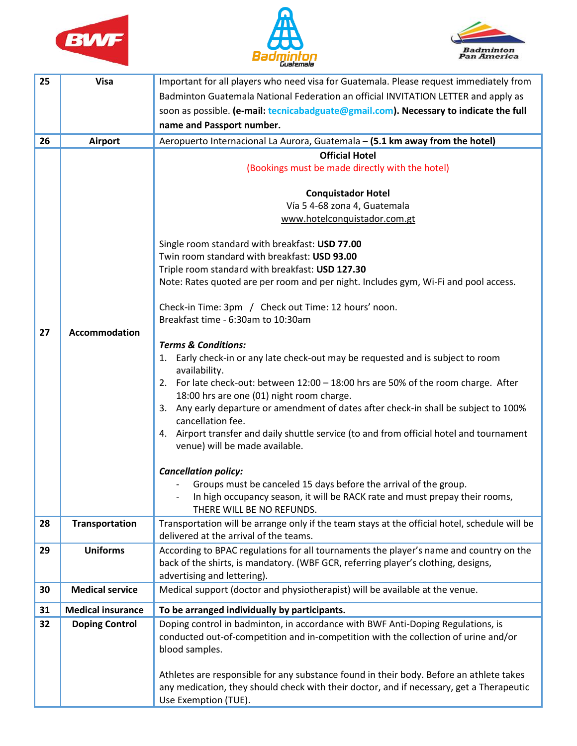





| 25 | <b>Visa</b>                               | Important for all players who need visa for Guatemala. Please request immediately from                                                                                                                                                                                                                                                                                                                                                                                                                                                                                                                                                                                                                                                                          |
|----|-------------------------------------------|-----------------------------------------------------------------------------------------------------------------------------------------------------------------------------------------------------------------------------------------------------------------------------------------------------------------------------------------------------------------------------------------------------------------------------------------------------------------------------------------------------------------------------------------------------------------------------------------------------------------------------------------------------------------------------------------------------------------------------------------------------------------|
|    |                                           | Badminton Guatemala National Federation an official INVITATION LETTER and apply as                                                                                                                                                                                                                                                                                                                                                                                                                                                                                                                                                                                                                                                                              |
|    |                                           | soon as possible. (e-mail: tecnicabadguate@gmail.com). Necessary to indicate the full                                                                                                                                                                                                                                                                                                                                                                                                                                                                                                                                                                                                                                                                           |
|    |                                           | name and Passport number.                                                                                                                                                                                                                                                                                                                                                                                                                                                                                                                                                                                                                                                                                                                                       |
| 26 | <b>Airport</b>                            | Aeropuerto Internacional La Aurora, Guatemala - (5.1 km away from the hotel)                                                                                                                                                                                                                                                                                                                                                                                                                                                                                                                                                                                                                                                                                    |
|    |                                           | <b>Official Hotel</b>                                                                                                                                                                                                                                                                                                                                                                                                                                                                                                                                                                                                                                                                                                                                           |
|    |                                           | (Bookings must be made directly with the hotel)                                                                                                                                                                                                                                                                                                                                                                                                                                                                                                                                                                                                                                                                                                                 |
|    |                                           |                                                                                                                                                                                                                                                                                                                                                                                                                                                                                                                                                                                                                                                                                                                                                                 |
|    |                                           | <b>Conquistador Hotel</b>                                                                                                                                                                                                                                                                                                                                                                                                                                                                                                                                                                                                                                                                                                                                       |
|    |                                           | Vía 5 4-68 zona 4, Guatemala                                                                                                                                                                                                                                                                                                                                                                                                                                                                                                                                                                                                                                                                                                                                    |
|    |                                           | www.hotelconquistador.com.gt                                                                                                                                                                                                                                                                                                                                                                                                                                                                                                                                                                                                                                                                                                                                    |
|    |                                           | Single room standard with breakfast: USD 77.00                                                                                                                                                                                                                                                                                                                                                                                                                                                                                                                                                                                                                                                                                                                  |
|    |                                           | Twin room standard with breakfast: USD 93.00                                                                                                                                                                                                                                                                                                                                                                                                                                                                                                                                                                                                                                                                                                                    |
|    |                                           | Triple room standard with breakfast: USD 127.30                                                                                                                                                                                                                                                                                                                                                                                                                                                                                                                                                                                                                                                                                                                 |
|    |                                           | Note: Rates quoted are per room and per night. Includes gym, Wi-Fi and pool access.                                                                                                                                                                                                                                                                                                                                                                                                                                                                                                                                                                                                                                                                             |
|    |                                           |                                                                                                                                                                                                                                                                                                                                                                                                                                                                                                                                                                                                                                                                                                                                                                 |
|    |                                           | Check-in Time: 3pm / Check out Time: 12 hours' noon.<br>Breakfast time - 6:30am to 10:30am                                                                                                                                                                                                                                                                                                                                                                                                                                                                                                                                                                                                                                                                      |
| 27 | <b>Accommodation</b>                      |                                                                                                                                                                                                                                                                                                                                                                                                                                                                                                                                                                                                                                                                                                                                                                 |
|    |                                           | <b>Terms &amp; Conditions:</b>                                                                                                                                                                                                                                                                                                                                                                                                                                                                                                                                                                                                                                                                                                                                  |
|    |                                           | 1. Early check-in or any late check-out may be requested and is subject to room                                                                                                                                                                                                                                                                                                                                                                                                                                                                                                                                                                                                                                                                                 |
|    |                                           | availability.                                                                                                                                                                                                                                                                                                                                                                                                                                                                                                                                                                                                                                                                                                                                                   |
|    |                                           | 2. For late check-out: between 12:00 - 18:00 hrs are 50% of the room charge. After                                                                                                                                                                                                                                                                                                                                                                                                                                                                                                                                                                                                                                                                              |
|    |                                           | 18:00 hrs are one (01) night room charge.                                                                                                                                                                                                                                                                                                                                                                                                                                                                                                                                                                                                                                                                                                                       |
|    |                                           | 3. Any early departure or amendment of dates after check-in shall be subject to 100%                                                                                                                                                                                                                                                                                                                                                                                                                                                                                                                                                                                                                                                                            |
|    |                                           | cancellation fee.                                                                                                                                                                                                                                                                                                                                                                                                                                                                                                                                                                                                                                                                                                                                               |
|    |                                           | 4. Airport transfer and daily shuttle service (to and from official hotel and tournament                                                                                                                                                                                                                                                                                                                                                                                                                                                                                                                                                                                                                                                                        |
|    |                                           | venue) will be made available.                                                                                                                                                                                                                                                                                                                                                                                                                                                                                                                                                                                                                                                                                                                                  |
|    |                                           |                                                                                                                                                                                                                                                                                                                                                                                                                                                                                                                                                                                                                                                                                                                                                                 |
|    |                                           |                                                                                                                                                                                                                                                                                                                                                                                                                                                                                                                                                                                                                                                                                                                                                                 |
|    |                                           | In high occupancy season, it will be RACK rate and must prepay their rooms,                                                                                                                                                                                                                                                                                                                                                                                                                                                                                                                                                                                                                                                                                     |
|    |                                           | THERE WILL BE NO REFUNDS.                                                                                                                                                                                                                                                                                                                                                                                                                                                                                                                                                                                                                                                                                                                                       |
| 28 | <b>Transportation</b>                     | Transportation will be arrange only if the team stays at the official hotel, schedule will be                                                                                                                                                                                                                                                                                                                                                                                                                                                                                                                                                                                                                                                                   |
|    |                                           |                                                                                                                                                                                                                                                                                                                                                                                                                                                                                                                                                                                                                                                                                                                                                                 |
| 29 |                                           |                                                                                                                                                                                                                                                                                                                                                                                                                                                                                                                                                                                                                                                                                                                                                                 |
|    |                                           |                                                                                                                                                                                                                                                                                                                                                                                                                                                                                                                                                                                                                                                                                                                                                                 |
|    |                                           |                                                                                                                                                                                                                                                                                                                                                                                                                                                                                                                                                                                                                                                                                                                                                                 |
|    |                                           |                                                                                                                                                                                                                                                                                                                                                                                                                                                                                                                                                                                                                                                                                                                                                                 |
| 31 | <b>Medical insurance</b>                  | To be arranged individually by participants.                                                                                                                                                                                                                                                                                                                                                                                                                                                                                                                                                                                                                                                                                                                    |
| 32 | <b>Doping Control</b>                     | Doping control in badminton, in accordance with BWF Anti-Doping Regulations, is                                                                                                                                                                                                                                                                                                                                                                                                                                                                                                                                                                                                                                                                                 |
|    |                                           |                                                                                                                                                                                                                                                                                                                                                                                                                                                                                                                                                                                                                                                                                                                                                                 |
|    |                                           |                                                                                                                                                                                                                                                                                                                                                                                                                                                                                                                                                                                                                                                                                                                                                                 |
|    |                                           |                                                                                                                                                                                                                                                                                                                                                                                                                                                                                                                                                                                                                                                                                                                                                                 |
|    |                                           |                                                                                                                                                                                                                                                                                                                                                                                                                                                                                                                                                                                                                                                                                                                                                                 |
|    |                                           |                                                                                                                                                                                                                                                                                                                                                                                                                                                                                                                                                                                                                                                                                                                                                                 |
| 30 | <b>Uniforms</b><br><b>Medical service</b> | <b>Cancellation policy:</b><br>Groups must be canceled 15 days before the arrival of the group.<br>delivered at the arrival of the teams.<br>According to BPAC regulations for all tournaments the player's name and country on the<br>back of the shirts, is mandatory. (WBF GCR, referring player's clothing, designs,<br>advertising and lettering).<br>Medical support (doctor and physiotherapist) will be available at the venue.<br>conducted out-of-competition and in-competition with the collection of urine and/or<br>blood samples.<br>Athletes are responsible for any substance found in their body. Before an athlete takes<br>any medication, they should check with their doctor, and if necessary, get a Therapeutic<br>Use Exemption (TUE). |